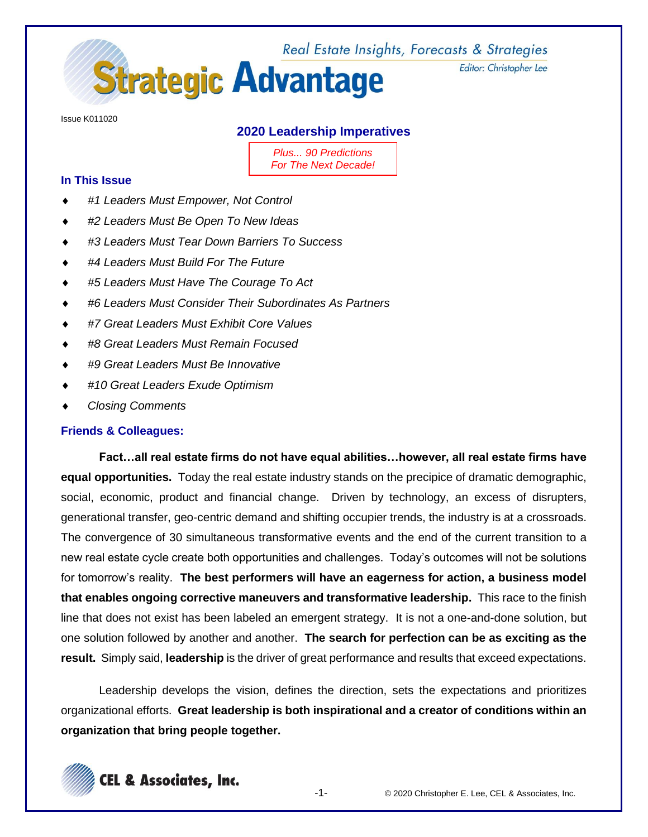

Editor: Christopher Lee

Issue K011020

# **2020 Leadership Imperatives**

*Plus... 90 Predictions For The Next Decade!*

## **In This Issue**

- *#1 Leaders Must Empower, Not Control*
- *#2 Leaders Must Be Open To New Ideas*
- *#3 Leaders Must Tear Down Barriers To Success*
- *#4 Leaders Must Build For The Future*
- *#5 Leaders Must Have The Courage To Act*
- *#6 Leaders Must Consider Their Subordinates As Partners*
- *#7 Great Leaders Must Exhibit Core Values*
- *#8 Great Leaders Must Remain Focused*
- *#9 Great Leaders Must Be Innovative*
- *#10 Great Leaders Exude Optimism*
- *Closing Comments*

## **Friends & Colleagues:**

**Fact…all real estate firms do not have equal abilities…however, all real estate firms have equal opportunities.** Today the real estate industry stands on the precipice of dramatic demographic, social, economic, product and financial change. Driven by technology, an excess of disrupters, generational transfer, geo-centric demand and shifting occupier trends, the industry is at a crossroads. The convergence of 30 simultaneous transformative events and the end of the current transition to a new real estate cycle create both opportunities and challenges. Today's outcomes will not be solutions for tomorrow's reality. **The best performers will have an eagerness for action, a business model that enables ongoing corrective maneuvers and transformative leadership.** This race to the finish line that does not exist has been labeled an emergent strategy. It is not a one-and-done solution, but one solution followed by another and another. **The search for perfection can be as exciting as the result.** Simply said, **leadership** is the driver of great performance and results that exceed expectations.

Leadership develops the vision, defines the direction, sets the expectations and prioritizes organizational efforts. **Great leadership is both inspirational and a creator of conditions within an organization that bring people together.**

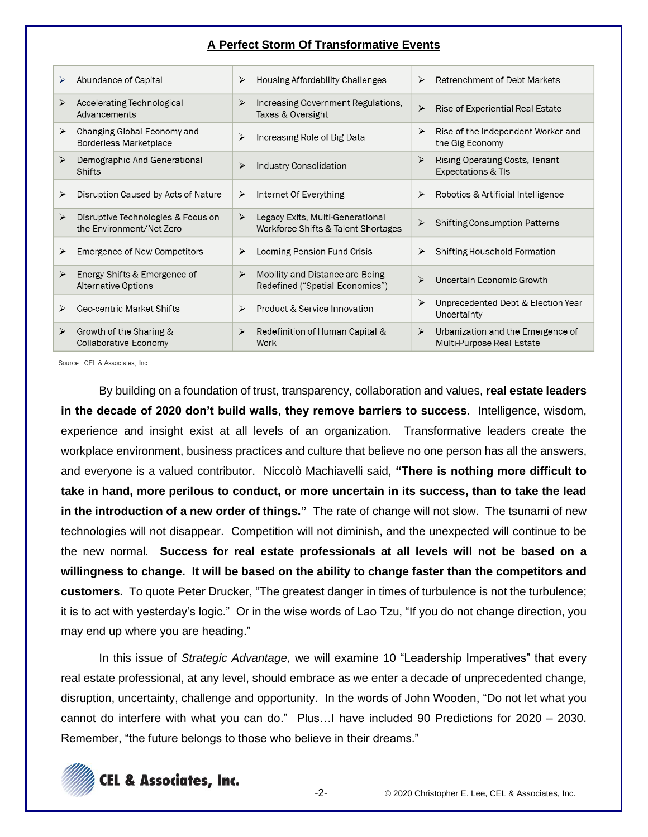#### **A Perfect Storm Of Transformative Events**

|   | Abundance of Capital                                           | ⋗                     | Housing Affordability Challenges                                        | ➤ | Retrenchment of Debt Markets                                    |
|---|----------------------------------------------------------------|-----------------------|-------------------------------------------------------------------------|---|-----------------------------------------------------------------|
| ≻ | Accelerating Technological<br>Advancements                     | $\triangleright$      | Increasing Government Regulations,<br>Taxes & Oversight                 | ➤ | Rise of Experiential Real Estate                                |
| ➤ | Changing Global Economy and<br><b>Borderless Marketplace</b>   | ⋗                     | Increasing Role of Big Data                                             | ≻ | Rise of the Independent Worker and<br>the Gig Economy           |
| ➤ | Demographic And Generational<br>Shifts                         | ⋗                     | Industry Consolidation                                                  | ⋗ | Rising Operating Costs, Tenant<br><b>Expectations &amp; TIs</b> |
| ≻ | Disruption Caused by Acts of Nature                            | ➤                     | Internet Of Everything                                                  | ➤ | Robotics & Artificial Intelligence                              |
| ⋗ | Disruptive Technologies & Focus on<br>the Environment/Net Zero | $\blacktriangleright$ | Legacy Exits, Multi-Generational<br>Workforce Shifts & Talent Shortages | ≻ | <b>Shifting Consumption Patterns</b>                            |
| ≻ | Emergence of New Competitors                                   | ≻                     | Looming Pension Fund Crisis                                             | ≻ | Shifting Household Formation                                    |
| ➤ | Energy Shifts & Emergence of<br><b>Alternative Options</b>     | ➤                     | Mobility and Distance are Being<br>Redefined ("Spatial Economics")      | ≻ | Uncertain Economic Growth                                       |
| ➤ | Geo-centric Market Shifts                                      | ➤                     | Product & Service Innovation                                            | ≻ | Unprecedented Debt & Election Year<br>Uncertainty               |
| ➤ | Growth of the Sharing &<br><b>Collaborative Economy</b>        | $\triangleright$      | Redefinition of Human Capital &<br>Work                                 | ≻ | Urbanization and the Emergence of<br>Multi-Purpose Real Estate  |

Source: CEL & Associates, Inc.

By building on a foundation of trust, transparency, collaboration and values, **real estate leaders in the decade of 2020 don't build walls, they remove barriers to success**. Intelligence, wisdom, experience and insight exist at all levels of an organization. Transformative leaders create the workplace environment, business practices and culture that believe no one person has all the answers, and everyone is a valued contributor. Niccolò Machiavelli said, **"There is nothing more difficult to take in hand, more perilous to conduct, or more uncertain in its success, than to take the lead in the introduction of a new order of things."** The rate of change will not slow. The tsunami of new technologies will not disappear. Competition will not diminish, and the unexpected will continue to be the new normal. **Success for real estate professionals at all levels will not be based on a willingness to change. It will be based on the ability to change faster than the competitors and customers.** To quote Peter Drucker, "The greatest danger in times of turbulence is not the turbulence; it is to act with yesterday's logic." Or in the wise words of Lao Tzu, "If you do not change direction, you may end up where you are heading."

In this issue of *Strategic Advantage*, we will examine 10 "Leadership Imperatives" that every real estate professional, at any level, should embrace as we enter a decade of unprecedented change, disruption, uncertainty, challenge and opportunity. In the words of John Wooden, "Do not let what you cannot do interfere with what you can do." Plus…I have included 90 Predictions for 2020 – 2030. Remember, "the future belongs to those who believe in their dreams."

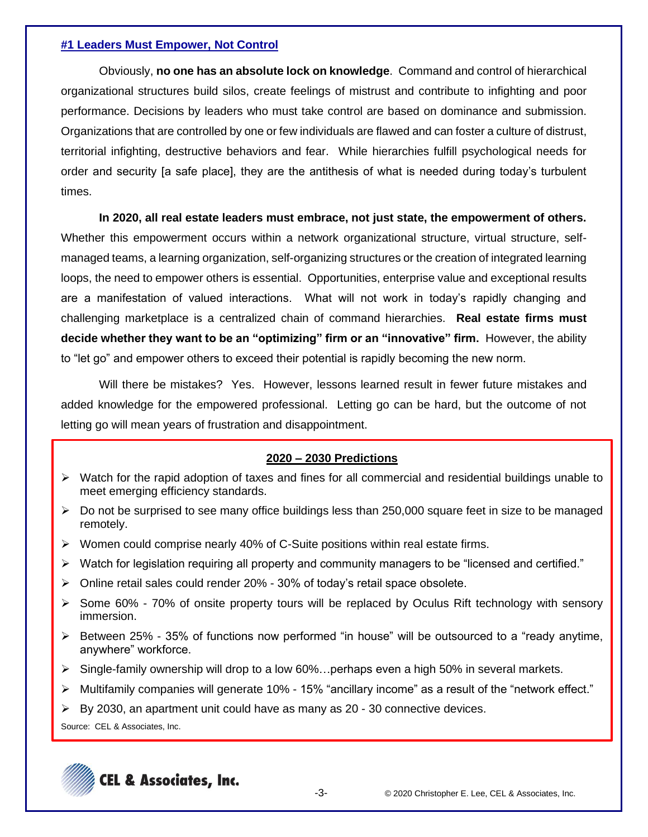#### **#1 Leaders Must Empower, Not Control**

Obviously, **no one has an absolute lock on knowledge**. Command and control of hierarchical organizational structures build silos, create feelings of mistrust and contribute to infighting and poor performance. Decisions by leaders who must take control are based on dominance and submission. Organizations that are controlled by one or few individuals are flawed and can foster a culture of distrust, territorial infighting, destructive behaviors and fear. While hierarchies fulfill psychological needs for order and security [a safe place], they are the antithesis of what is needed during today's turbulent times.

**In 2020, all real estate leaders must embrace, not just state, the empowerment of others.** Whether this empowerment occurs within a network organizational structure, virtual structure, selfmanaged teams, a learning organization, self-organizing structures or the creation of integrated learning loops, the need to empower others is essential. Opportunities, enterprise value and exceptional results are a manifestation of valued interactions. What will not work in today's rapidly changing and challenging marketplace is a centralized chain of command hierarchies. **Real estate firms must decide whether they want to be an "optimizing" firm or an "innovative" firm.** However, the ability to "let go" and empower others to exceed their potential is rapidly becoming the new norm.

Will there be mistakes? Yes. However, lessons learned result in fewer future mistakes and added knowledge for the empowered professional. Letting go can be hard, but the outcome of not letting go will mean years of frustration and disappointment.

## **2020 – 2030 Predictions**

- ➢ Watch for the rapid adoption of taxes and fines for all commercial and residential buildings unable to meet emerging efficiency standards.
- ➢ Do not be surprised to see many office buildings less than 250,000 square feet in size to be managed remotely.
- $\triangleright$  Women could comprise nearly 40% of C-Suite positions within real estate firms.
- $\triangleright$  Watch for legislation requiring all property and community managers to be "licensed and certified."
- $\triangleright$  Online retail sales could render 20% 30% of today's retail space obsolete.
- ➢ Some 60% 70% of onsite property tours will be replaced by Oculus Rift technology with sensory immersion.
- $\triangleright$  Between 25% 35% of functions now performed "in house" will be outsourced to a "ready anytime, anywhere" workforce.
- $\triangleright$  Single-family ownership will drop to a low 60%... perhaps even a high 50% in several markets.
- $\triangleright$  Multifamily companies will generate 10% 15% "ancillary income" as a result of the "network effect."
- $\triangleright$  By 2030, an apartment unit could have as many as 20 30 connective devices.

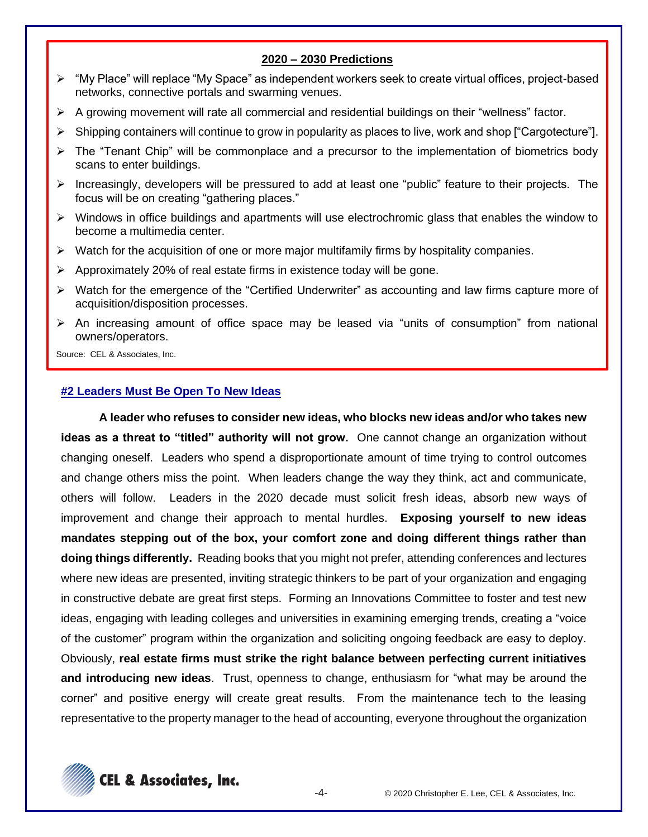## **2020 – 2030 Predictions**

- ➢ "My Place" will replace "My Space" as independent workers seek to create virtual offices, project-based networks, connective portals and swarming venues.
- ➢ A growing movement will rate all commercial and residential buildings on their "wellness" factor.
- ➢ Shipping containers will continue to grow in popularity as places to live, work and shop ["Cargotecture"].
- ➢ The "Tenant Chip" will be commonplace and a precursor to the implementation of biometrics body scans to enter buildings.
- ➢ Increasingly, developers will be pressured to add at least one "public" feature to their projects. The focus will be on creating "gathering places."
- ➢ Windows in office buildings and apartments will use electrochromic glass that enables the window to become a multimedia center.
- $\triangleright$  Watch for the acquisition of one or more major multifamily firms by hospitality companies.
- ➢ Approximately 20% of real estate firms in existence today will be gone.
- ➢ Watch for the emergence of the "Certified Underwriter" as accounting and law firms capture more of acquisition/disposition processes.
- ➢ An increasing amount of office space may be leased via "units of consumption" from national owners/operators.

Source: CEL & Associates, Inc.

#### **#2 Leaders Must Be Open To New Ideas**

**A leader who refuses to consider new ideas, who blocks new ideas and/or who takes new ideas as a threat to "titled" authority will not grow.** One cannot change an organization without changing oneself. Leaders who spend a disproportionate amount of time trying to control outcomes and change others miss the point. When leaders change the way they think, act and communicate, others will follow. Leaders in the 2020 decade must solicit fresh ideas, absorb new ways of improvement and change their approach to mental hurdles. **Exposing yourself to new ideas mandates stepping out of the box, your comfort zone and doing different things rather than doing things differently.** Reading books that you might not prefer, attending conferences and lectures where new ideas are presented, inviting strategic thinkers to be part of your organization and engaging in constructive debate are great first steps. Forming an Innovations Committee to foster and test new ideas, engaging with leading colleges and universities in examining emerging trends, creating a "voice of the customer" program within the organization and soliciting ongoing feedback are easy to deploy. Obviously, **real estate firms must strike the right balance between perfecting current initiatives and introducing new ideas**. Trust, openness to change, enthusiasm for "what may be around the corner" and positive energy will create great results. From the maintenance tech to the leasing representative to the property manager to the head of accounting, everyone throughout the organization

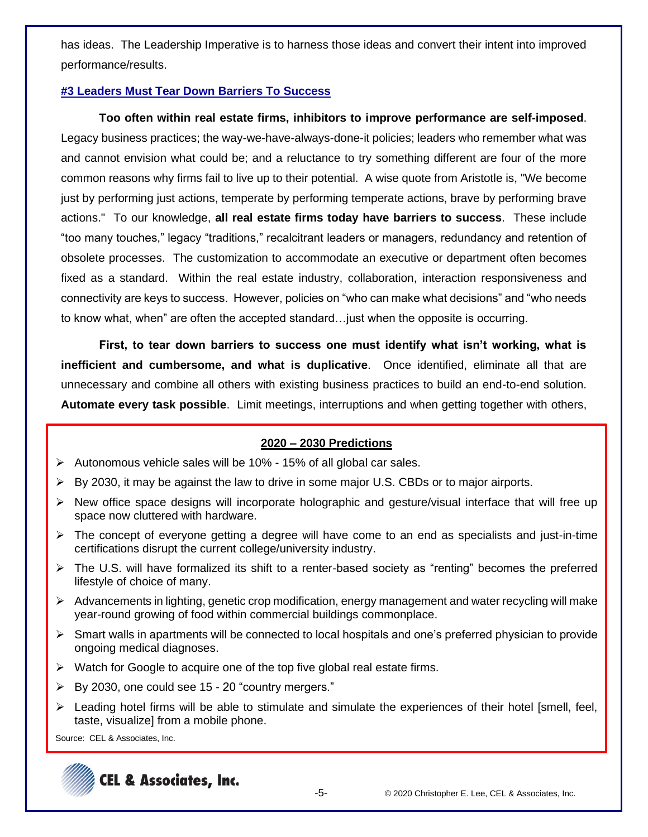has ideas. The Leadership Imperative is to harness those ideas and convert their intent into improved performance/results.

# **#3 Leaders Must Tear Down Barriers To Success**

**Too often within real estate firms, inhibitors to improve performance are self-imposed**. Legacy business practices; the way-we-have-always-done-it policies; leaders who remember what was and cannot envision what could be; and a reluctance to try something different are four of the more common reasons why firms fail to live up to their potential. A wise quote from Aristotle is, "We become just by performing just actions, temperate by performing temperate actions, brave by performing brave actions." To our knowledge, **all real estate firms today have barriers to success**. These include "too many touches," legacy "traditions," recalcitrant leaders or managers, redundancy and retention of obsolete processes. The customization to accommodate an executive or department often becomes fixed as a standard. Within the real estate industry, collaboration, interaction responsiveness and connectivity are keys to success. However, policies on "who can make what decisions" and "who needs to know what, when" are often the accepted standard…just when the opposite is occurring.

**First, to tear down barriers to success one must identify what isn't working, what is inefficient and cumbersome, and what is duplicative**. Once identified, eliminate all that are unnecessary and combine all others with existing business practices to build an end-to-end solution. **Automate every task possible**. Limit meetings, interruptions and when getting together with others,

## **2020 – 2030 Predictions**

- ➢ Autonomous vehicle sales will be 10% 15% of all global car sales.
- ➢ By 2030, it may be against the law to drive in some major U.S. CBDs or to major airports.
- ➢ New office space designs will incorporate holographic and gesture/visual interface that will free up space now cluttered with hardware.
- $\triangleright$  The concept of everyone getting a degree will have come to an end as specialists and just-in-time certifications disrupt the current college/university industry.
- ➢ The U.S. will have formalized its shift to a renter-based society as "renting" becomes the preferred lifestyle of choice of many.
- $\triangleright$  Advancements in lighting, genetic crop modification, energy management and water recycling will make year-round growing of food within commercial buildings commonplace.
- ➢ Smart walls in apartments will be connected to local hospitals and one's preferred physician to provide ongoing medical diagnoses.
- ➢ Watch for Google to acquire one of the top five global real estate firms.
- ➢ By 2030, one could see 15 20 "country mergers."
- $\triangleright$  Leading hotel firms will be able to stimulate and simulate the experiences of their hotel [smell, feel, taste, visualize] from a mobile phone.

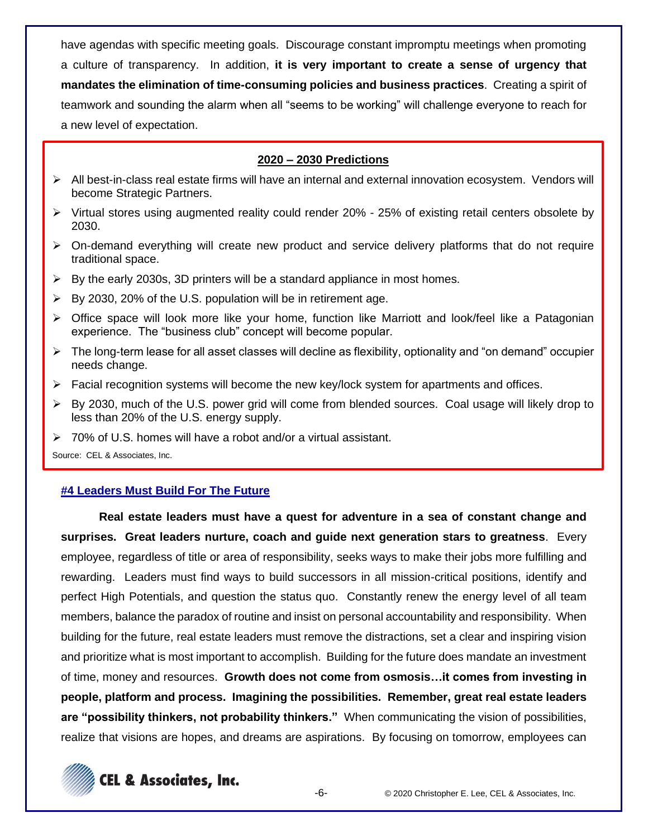have agendas with specific meeting goals. Discourage constant impromptu meetings when promoting a culture of transparency. In addition, **it is very important to create a sense of urgency that mandates the elimination of time-consuming policies and business practices**. Creating a spirit of teamwork and sounding the alarm when all "seems to be working" will challenge everyone to reach for a new level of expectation.

# **2020 – 2030 Predictions**

- ➢ All best-in-class real estate firms will have an internal and external innovation ecosystem. Vendors will become Strategic Partners.
- ➢ Virtual stores using augmented reality could render 20% 25% of existing retail centers obsolete by 2030.
- $\triangleright$  On-demand everything will create new product and service delivery platforms that do not require traditional space.
- $\triangleright$  By the early 2030s, 3D printers will be a standard appliance in most homes.
- $\triangleright$  By 2030, 20% of the U.S. population will be in retirement age.
- ➢ Office space will look more like your home, function like Marriott and look/feel like a Patagonian experience. The "business club" concept will become popular.
- $\triangleright$  The long-term lease for all asset classes will decline as flexibility, optionality and "on demand" occupier needs change.
- $\triangleright$  Facial recognition systems will become the new key/lock system for apartments and offices.
- ➢ By 2030, much of the U.S. power grid will come from blended sources. Coal usage will likely drop to less than 20% of the U.S. energy supply.
- ➢ 70% of U.S. homes will have a robot and/or a virtual assistant.

Source: CEL & Associates, Inc.

## **#4 Leaders Must Build For The Future**

**Real estate leaders must have a quest for adventure in a sea of constant change and surprises. Great leaders nurture, coach and guide next generation stars to greatness**. Every employee, regardless of title or area of responsibility, seeks ways to make their jobs more fulfilling and rewarding. Leaders must find ways to build successors in all mission-critical positions, identify and perfect High Potentials, and question the status quo. Constantly renew the energy level of all team members, balance the paradox of routine and insist on personal accountability and responsibility. When building for the future, real estate leaders must remove the distractions, set a clear and inspiring vision and prioritize what is most important to accomplish. Building for the future does mandate an investment of time, money and resources. **Growth does not come from osmosis…it comes from investing in people, platform and process. Imagining the possibilities. Remember, great real estate leaders are "possibility thinkers, not probability thinkers."** When communicating the vision of possibilities, realize that visions are hopes, and dreams are aspirations. By focusing on tomorrow, employees can

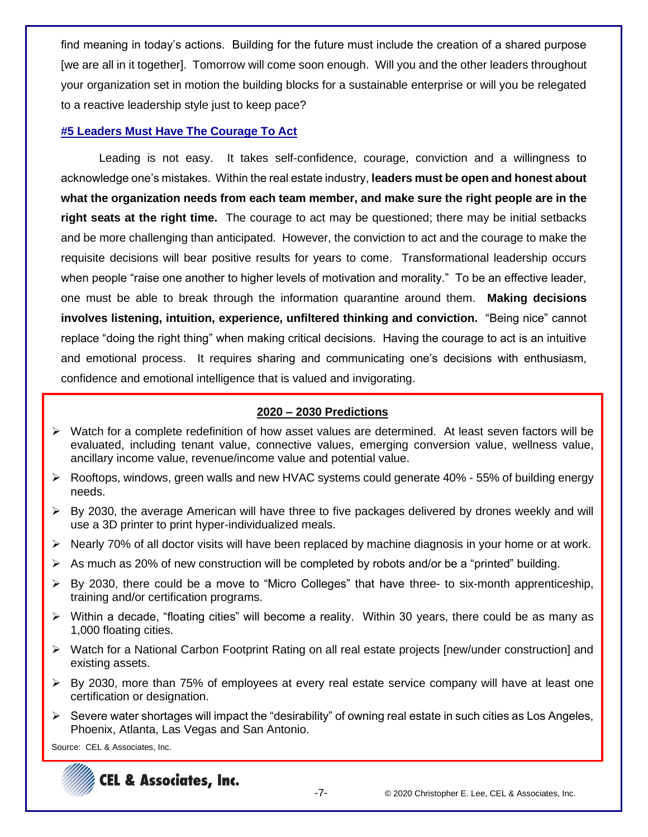find meaning in today's actions. Building for the future must include the creation of a shared purpose [we are all in it together]. Tomorrow will come soon enough. Will you and the other leaders throughout your organization set in motion the building blocks for a sustainable enterprise or will you be relegated to a reactive leadership style just to keep pace?

#### **#5 Leaders Must Have The Courage To Act**

Leading is not easy. It takes self-confidence, courage, conviction and a willingness to acknowledge one's mistakes. Within the real estate industry, **leaders must be open and honest about what the organization needs from each team member, and make sure the right people are in the right seats at the right time.** The courage to act may be questioned; there may be initial setbacks and be more challenging than anticipated. However, the conviction to act and the courage to make the requisite decisions will bear positive results for years to come. Transformational leadership occurs when people "raise one another to higher levels of motivation and morality." To be an effective leader, one must be able to break through the information quarantine around them. **Making decisions involves listening, intuition, experience, unfiltered thinking and conviction.** "Being nice" cannot replace "doing the right thing" when making critical decisions. Having the courage to act is an intuitive and emotional process. It requires sharing and communicating one's decisions with enthusiasm, confidence and emotional intelligence that is valued and invigorating.

## **2020 – 2030 Predictions**

- ➢ Watch for a complete redefinition of how asset values are determined. At least seven factors will be evaluated, including tenant value, connective values, emerging conversion value, wellness value, ancillary income value, revenue/income value and potential value.
- $\triangleright$  Rooftops, windows, green walls and new HVAC systems could generate 40% 55% of building energy needs.
- ➢ By 2030, the average American will have three to five packages delivered by drones weekly and will use a 3D printer to print hyper-individualized meals.
- ➢ Nearly 70% of all doctor visits will have been replaced by machine diagnosis in your home or at work.
- $\triangleright$  As much as 20% of new construction will be completed by robots and/or be a "printed" building.
- $\triangleright$  By 2030, there could be a move to "Micro Colleges" that have three- to six-month apprenticeship, training and/or certification programs.
- $\triangleright$  Within a decade, "floating cities" will become a reality. Within 30 years, there could be as many as 1,000 floating cities.
- ➢ Watch for a National Carbon Footprint Rating on all real estate projects [new/under construction] and existing assets.
- ➢ By 2030, more than 75% of employees at every real estate service company will have at least one certification or designation.
- $\triangleright$  Severe water shortages will impact the "desirability" of owning real estate in such cities as Los Angeles, Phoenix, Atlanta, Las Vegas and San Antonio.

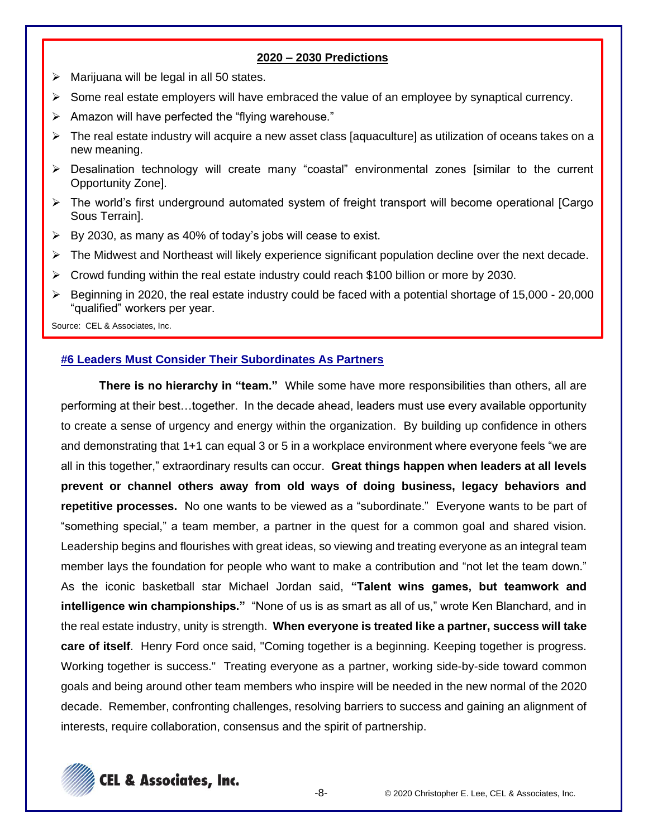## **2020 – 2030 Predictions**

- $\triangleright$  Marijuana will be legal in all 50 states.
- $\triangleright$  Some real estate employers will have embraced the value of an employee by synaptical currency.
- ➢ Amazon will have perfected the "flying warehouse."
- ➢ The real estate industry will acquire a new asset class [aquaculture] as utilization of oceans takes on a new meaning.
- ➢ Desalination technology will create many "coastal" environmental zones [similar to the current Opportunity Zone].
- ➢ The world's first underground automated system of freight transport will become operational [Cargo Sous Terrain].
- ➢ By 2030, as many as 40% of today's jobs will cease to exist.
- ➢ The Midwest and Northeast will likely experience significant population decline over the next decade.
- $\triangleright$  Crowd funding within the real estate industry could reach \$100 billion or more by 2030.
- ➢ Beginning in 2020, the real estate industry could be faced with a potential shortage of 15,000 20,000 "qualified" workers per year.

Source: CEL & Associates, Inc.

#### **#6 Leaders Must Consider Their Subordinates As Partners**

**There is no hierarchy in "team."** While some have more responsibilities than others, all are performing at their best…together. In the decade ahead, leaders must use every available opportunity to create a sense of urgency and energy within the organization. By building up confidence in others and demonstrating that 1+1 can equal 3 or 5 in a workplace environment where everyone feels "we are all in this together," extraordinary results can occur. **Great things happen when leaders at all levels prevent or channel others away from old ways of doing business, legacy behaviors and repetitive processes.** No one wants to be viewed as a "subordinate." Everyone wants to be part of "something special," a team member, a partner in the quest for a common goal and shared vision. Leadership begins and flourishes with great ideas, so viewing and treating everyone as an integral team member lays the foundation for people who want to make a contribution and "not let the team down." As the iconic basketball star Michael Jordan said, **"Talent wins games, but teamwork and intelligence win championships."** "None of us is as smart as all of us," wrote Ken Blanchard, and in the real estate industry, unity is strength. **When everyone is treated like a partner, success will take care of itself**. Henry Ford once said, "Coming together is a beginning. Keeping together is progress. Working together is success." Treating everyone as a partner, working side-by-side toward common goals and being around other team members who inspire will be needed in the new normal of the 2020 decade. Remember, confronting challenges, resolving barriers to success and gaining an alignment of interests, require collaboration, consensus and the spirit of partnership.

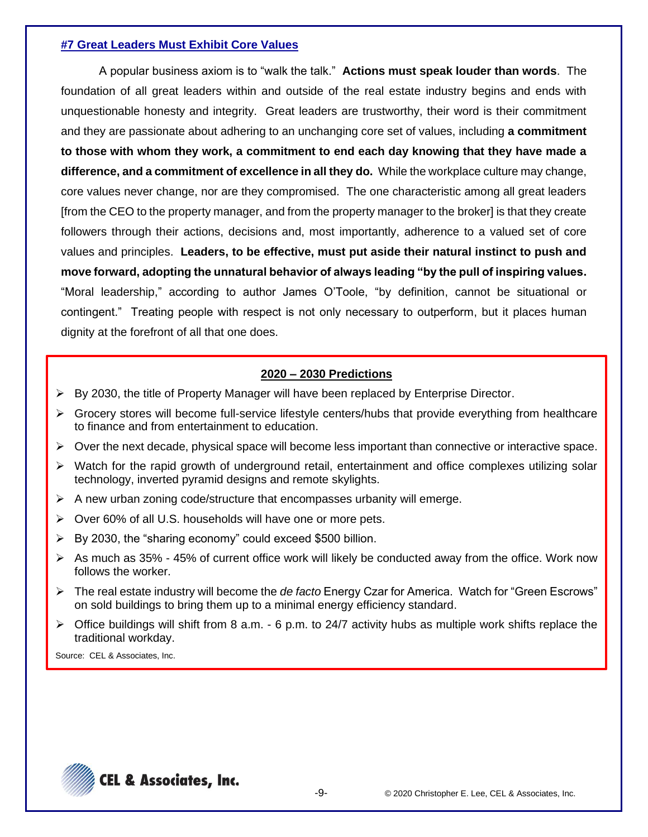## **#7 Great Leaders Must Exhibit Core Values**

A popular business axiom is to "walk the talk." **Actions must speak louder than words**. The foundation of all great leaders within and outside of the real estate industry begins and ends with unquestionable honesty and integrity. Great leaders are trustworthy, their word is their commitment and they are passionate about adhering to an unchanging core set of values, including **a commitment to those with whom they work, a commitment to end each day knowing that they have made a difference, and a commitment of excellence in all they do.** While the workplace culture may change, core values never change, nor are they compromised. The one characteristic among all great leaders [from the CEO to the property manager, and from the property manager to the broker] is that they create followers through their actions, decisions and, most importantly, adherence to a valued set of core values and principles. **Leaders, to be effective, must put aside their natural instinct to push and move forward, adopting the unnatural behavior of always leading "by the pull of inspiring values.** "Moral leadership," according to author James O'Toole, "by definition, cannot be situational or contingent." Treating people with respect is not only necessary to outperform, but it places human dignity at the forefront of all that one does.

# **2020 – 2030 Predictions**

- $\triangleright$  By 2030, the title of Property Manager will have been replaced by Enterprise Director.
- $\triangleright$  Grocery stores will become full-service lifestyle centers/hubs that provide everything from healthcare to finance and from entertainment to education.
- $\triangleright$  Over the next decade, physical space will become less important than connective or interactive space.
- $\triangleright$  Watch for the rapid growth of underground retail, entertainment and office complexes utilizing solar technology, inverted pyramid designs and remote skylights.
- $\triangleright$  A new urban zoning code/structure that encompasses urbanity will emerge.
- ➢ Over 60% of all U.S. households will have one or more pets.
- $\triangleright$  By 2030, the "sharing economy" could exceed \$500 billion.
- $\triangleright$  As much as 35% 45% of current office work will likely be conducted away from the office. Work now follows the worker.
- ➢ The real estate industry will become the *de facto* Energy Czar for America. Watch for "Green Escrows" on sold buildings to bring them up to a minimal energy efficiency standard.
- $\triangleright$  Office buildings will shift from 8 a.m. 6 p.m. to 24/7 activity hubs as multiple work shifts replace the traditional workday.

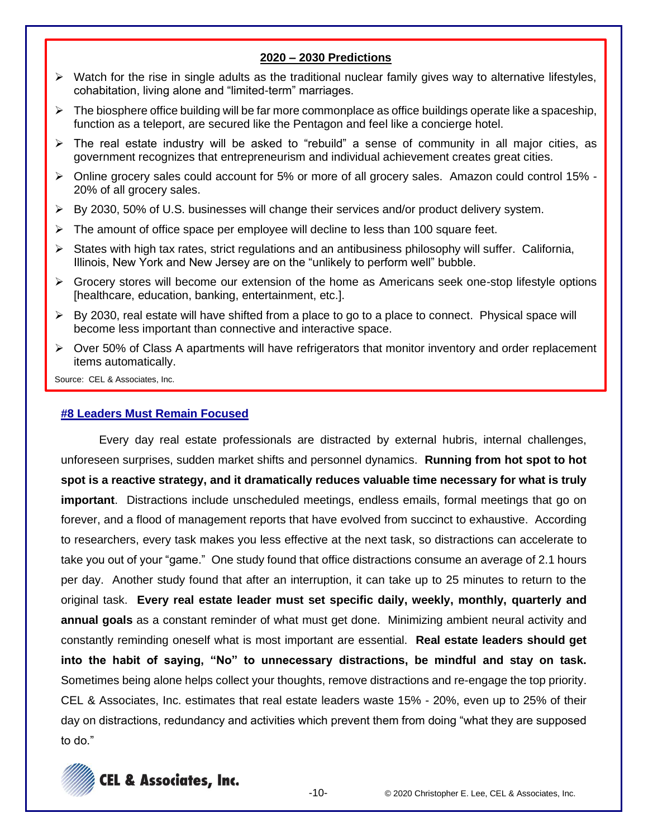#### **2020 – 2030 Predictions**

- ➢ Watch for the rise in single adults as the traditional nuclear family gives way to alternative lifestyles, cohabitation, living alone and "limited-term" marriages.
- ➢ The biosphere office building will be far more commonplace as office buildings operate like a spaceship, function as a teleport, are secured like the Pentagon and feel like a concierge hotel.
- $\triangleright$  The real estate industry will be asked to "rebuild" a sense of community in all major cities, as government recognizes that entrepreneurism and individual achievement creates great cities.
- $\triangleright$  Online grocery sales could account for 5% or more of all grocery sales. Amazon could control 15% -20% of all grocery sales.
- ➢ By 2030, 50% of U.S. businesses will change their services and/or product delivery system.
- ➢ The amount of office space per employee will decline to less than 100 square feet.
- ➢ States with high tax rates, strict regulations and an antibusiness philosophy will suffer. California, Illinois, New York and New Jersey are on the "unlikely to perform well" bubble.
- ➢ Grocery stores will become our extension of the home as Americans seek one-stop lifestyle options [healthcare, education, banking, entertainment, etc.].
- $\triangleright$  By 2030, real estate will have shifted from a place to go to a place to connect. Physical space will become less important than connective and interactive space.
- ➢ Over 50% of Class A apartments will have refrigerators that monitor inventory and order replacement items automatically.

Source: CEL & Associates, Inc.

#### **#8 Leaders Must Remain Focused**

Every day real estate professionals are distracted by external hubris, internal challenges, unforeseen surprises, sudden market shifts and personnel dynamics. **Running from hot spot to hot spot is a reactive strategy, and it dramatically reduces valuable time necessary for what is truly important**. Distractions include unscheduled meetings, endless emails, formal meetings that go on forever, and a flood of management reports that have evolved from succinct to exhaustive. According to researchers, every task makes you less effective at the next task, so distractions can accelerate to take you out of your "game." One study found that office distractions consume an average of 2.1 hours per day. Another study found that after an interruption, it can take up to 25 minutes to return to the original task. **Every real estate leader must set specific daily, weekly, monthly, quarterly and annual goals** as a constant reminder of what must get done. Minimizing ambient neural activity and constantly reminding oneself what is most important are essential. **Real estate leaders should get into the habit of saying, "No" to unnecessary distractions, be mindful and stay on task.** Sometimes being alone helps collect your thoughts, remove distractions and re-engage the top priority. CEL & Associates, Inc. estimates that real estate leaders waste 15% - 20%, even up to 25% of their day on distractions, redundancy and activities which prevent them from doing "what they are supposed to do."

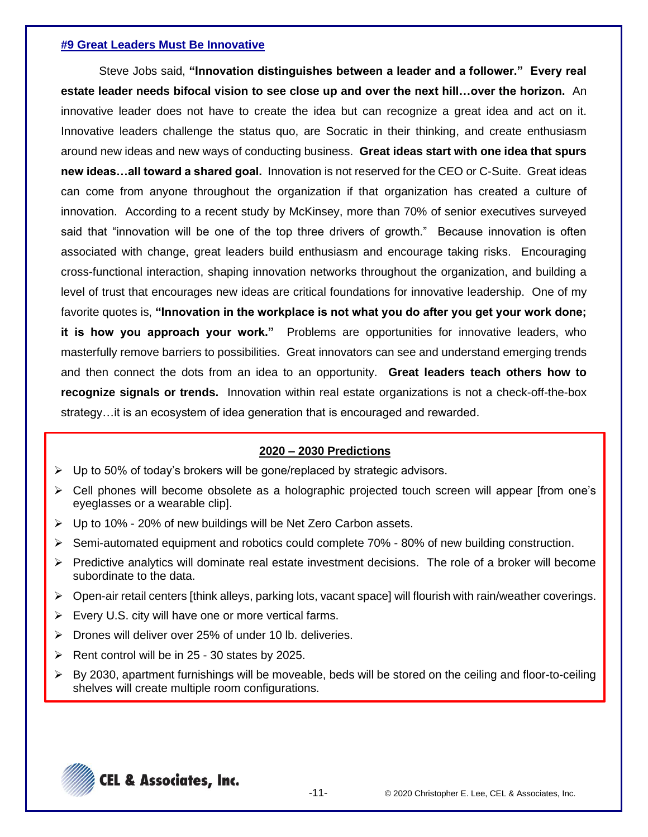#### **#9 Great Leaders Must Be Innovative**

Steve Jobs said, **"Innovation distinguishes between a leader and a follower." Every real estate leader needs bifocal vision to see close up and over the next hill…over the horizon.** An innovative leader does not have to create the idea but can recognize a great idea and act on it. Innovative leaders challenge the status quo, are Socratic in their thinking, and create enthusiasm around new ideas and new ways of conducting business. **Great ideas start with one idea that spurs new ideas…all toward a shared goal.** Innovation is not reserved for the CEO or C-Suite. Great ideas can come from anyone throughout the organization if that organization has created a culture of innovation. According to a recent study by McKinsey, more than 70% of senior executives surveyed said that "innovation will be one of the top three drivers of growth." Because innovation is often associated with change, great leaders build enthusiasm and encourage taking risks. Encouraging cross-functional interaction, shaping innovation networks throughout the organization, and building a level of trust that encourages new ideas are critical foundations for innovative leadership. One of my favorite quotes is, **"Innovation in the workplace is not what you do after you get your work done; it is how you approach your work."** Problems are opportunities for innovative leaders, who masterfully remove barriers to possibilities. Great innovators can see and understand emerging trends and then connect the dots from an idea to an opportunity. **Great leaders teach others how to recognize signals or trends.** Innovation within real estate organizations is not a check-off-the-box strategy…it is an ecosystem of idea generation that is encouraged and rewarded.

## **2020 – 2030 Predictions**

- $\triangleright$  Up to 50% of today's brokers will be gone/replaced by strategic advisors.
- ➢ Cell phones will become obsolete as a holographic projected touch screen will appear [from one's eyeglasses or a wearable clip].
- ➢ Up to 10% 20% of new buildings will be Net Zero Carbon assets.
- $\triangleright$  Semi-automated equipment and robotics could complete 70% 80% of new building construction.
- $\triangleright$  Predictive analytics will dominate real estate investment decisions. The role of a broker will become subordinate to the data.
- ➢ Open-air retail centers [think alleys, parking lots, vacant space] will flourish with rain/weather coverings.
- ➢ Every U.S. city will have one or more vertical farms.
- ➢ Drones will deliver over 25% of under 10 lb. deliveries.
- $\triangleright$  Rent control will be in 25 30 states by 2025.
- ➢ By 2030, apartment furnishings will be moveable, beds will be stored on the ceiling and floor-to-ceiling shelves will create multiple room configurations.

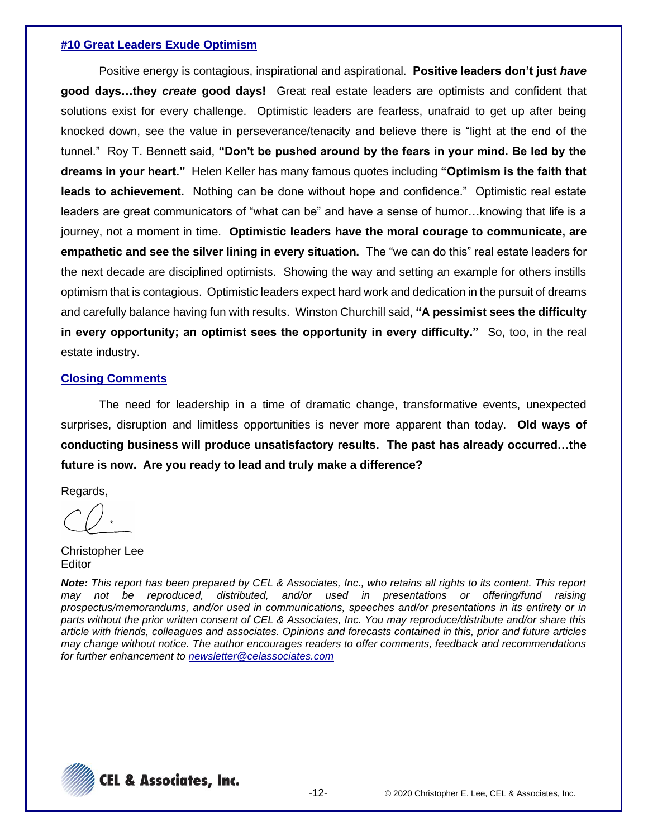#### **#10 Great Leaders Exude Optimism**

Positive energy is contagious, inspirational and aspirational. **Positive leaders don't just** *have* **good days…they** *create* **good days!** Great real estate leaders are optimists and confident that solutions exist for every challenge. Optimistic leaders are fearless, unafraid to get up after being knocked down, see the value in perseverance/tenacity and believe there is "light at the end of the tunnel." Roy T. Bennett said, **"Don't be pushed around by the fears in your mind. Be led by the dreams in your heart."** Helen Keller has many famous quotes including **"Optimism is the faith that leads to achievement.** Nothing can be done without hope and confidence." Optimistic real estate leaders are great communicators of "what can be" and have a sense of humor…knowing that life is a journey, not a moment in time. **Optimistic leaders have the moral courage to communicate, are empathetic and see the silver lining in every situation.** The "we can do this" real estate leaders for the next decade are disciplined optimists. Showing the way and setting an example for others instills optimism that is contagious. Optimistic leaders expect hard work and dedication in the pursuit of dreams and carefully balance having fun with results. Winston Churchill said, **"A pessimist sees the difficulty in every opportunity; an optimist sees the opportunity in every difficulty."** So, too, in the real estate industry.

#### **Closing Comments**

The need for leadership in a time of dramatic change, transformative events, unexpected surprises, disruption and limitless opportunities is never more apparent than today. **Old ways of conducting business will produce unsatisfactory results. The past has already occurred…the future is now. Are you ready to lead and truly make a difference?**

Regards,

Christopher Lee **Editor** 

*Note: This report has been prepared by CEL & Associates, Inc., who retains all rights to its content. This report may not be reproduced, distributed, and/or used in presentations or offering/fund raising prospectus/memorandums, and/or used in communications, speeches and/or presentations in its entirety or in parts without the prior written consent of CEL & Associates, Inc. You may reproduce/distribute and/or share this article with friends, colleagues and associates. Opinions and forecasts contained in this, prior and future articles may change without notice. The author encourages readers to offer comments, feedback and recommendations for further enhancement to [newsletter@celassociates.com](mailto:newsletter@celassociates.com)*

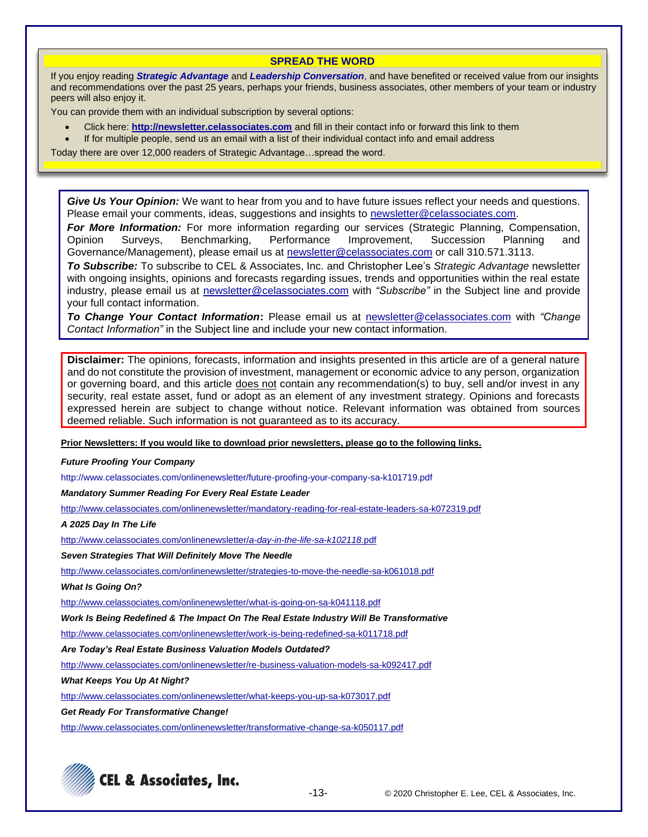#### **SPREAD THE WORD**

If you enjoy reading *Strategic Advantage* and *Leadership Conversation*, and have benefited or received value from our insights and recommendations over the past 25 years, perhaps your friends, business associates, other members of your team or industry peers will also enjoy it.

You can provide them with an individual subscription by several options:

- Click here: **http://newsletter.celassociates.com** and fill in their contact info or forward this link to them
- If for multiple people, send us an email with a list of their individual contact info and email address

Today there are over 12,000 readers of Strategic Advantage…spread the word.

*Give Us Your Opinion:* We want to hear from you and to have future issues reflect your needs and questions. Please email your comments, ideas, suggestions and insights to newsletter@celassociates.com.

*For More Information:* For more information regarding our services (Strategic Planning, Compensation, Opinion Surveys, Benchmarking, Performance Improvement, Succession Planning and Governance/Management), please email us at newsletter@celassociates.com or call 310.571.3113.

*To Subscribe:* To subscribe to CEL & Associates, Inc. and Christopher Lee's *Strategic Advantage* newsletter with ongoing insights, opinions and forecasts regarding issues, trends and opportunities within the real estate industry, please email us at newsletter@celassociates.com with *"Subscribe"* in the Subject line and provide your full contact information.

*To Change Your Contact Information***:** Please email us at newsletter@celassociates.com with *"Change Contact Information"* in the Subject line and include your new contact information.

**Disclaimer:** The opinions, forecasts, information and insights presented in this article are of a general nature and do not constitute the provision of investment, management or economic advice to any person, organization or governing board, and this article does not contain any recommendation(s) to buy, sell and/or invest in any security, real estate asset, fund or adopt as an element of any investment strategy. Opinions and forecasts expressed herein are subject to change without notice. Relevant information was obtained from sources deemed reliable. Such information is not guaranteed as to its accuracy.

**Prior Newsletters: If you would like to download prior newsletters, please go to the following links.**

*Future Proofing Your Company*

<http://www.celassociates.com/onlinenewsletter/future-proofing-your-company-sa-k101719.pdf>

*Mandatory Summer Reading For Every Real Estate Leader*

<http://www.celassociates.com/onlinenewsletter/mandatory-reading-for-real-estate-leaders-sa-k072319.pdf>

*A 2025 Day In The Life*

[http://www.celassociates.com/onlinenewsletter/](http://www.celassociates.com/onlinenewsletter/a-day-in-the-life-sa-k102118.pdf)*a-day-in-the-life-sa-k102118.*pdf

*Seven Strategies That Will Definitely Move The Needle* 

<http://www.celassociates.com/onlinenewsletter/strategies-to-move-the-needle-sa-k061018.pdf>

*What Is Going On?*

[http://www.celassociates.com/onlinenewsletter/what-is-going-on-sa-k041118.pdf](http://www.celassociates.com/onlinenewsletter/work-is-being-redefined-sa-k011718.pdf.pdf)

*Work Is Being Redefined & The Impact On The Real Estate Industry Will Be Transformative*

[http://www.celassociates.com/onlinenewsletter/work-is-being-redefined-sa-k011718.pdf](http://www.celassociates.com/onlinenewsletter/work-is-being-redefined-sa-k011718.pdf.pdf)

*Are Today's Real Estate Business Valuation Models Outdated?*

<http://www.celassociates.com/onlinenewsletter/re-business-valuation-models-sa-k092417.pdf>

*What Keeps You Up At Night?*

<http://www.celassociates.com/onlinenewsletter/what-keeps-you-up-sa-k073017.pdf>

*Get Ready For Transformative Change!*

<http://www.celassociates.com/onlinenewsletter/transformative-change-sa-k050117.pdf>